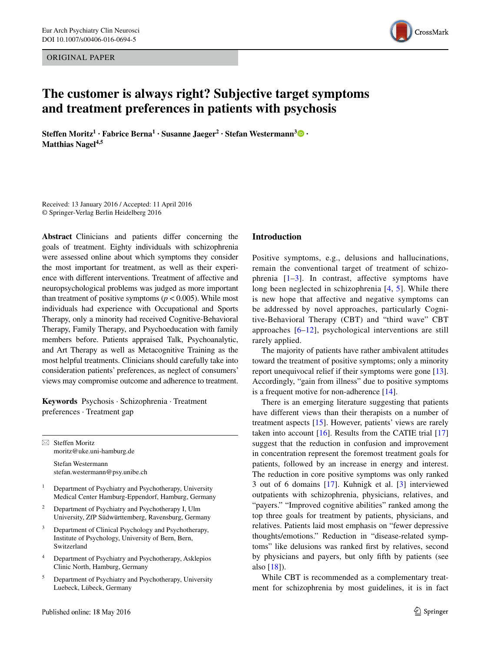ORIGINAL PAPER



# **The customer is always right? Subjective target symptoms and treatment preferences in patients with psychosis**

**Steffen Moritz1 · Fabrice Berna<sup>1</sup> · Susanne Jaeger2 · Stefan Westermann[3](http://orcid.org/0000-0002-4785-0024) · Matthias Nagel4,5**

Received: 13 January 2016 / Accepted: 11 April 2016 © Springer-Verlag Berlin Heidelberg 2016

**Abstract** Clinicians and patients differ concerning the goals of treatment. Eighty individuals with schizophrenia were assessed online about which symptoms they consider the most important for treatment, as well as their experience with different interventions. Treatment of affective and neuropsychological problems was judged as more important than treatment of positive symptoms ( $p < 0.005$ ). While most individuals had experience with Occupational and Sports Therapy, only a minority had received Cognitive-Behavioral Therapy, Family Therapy, and Psychoeducation with family members before. Patients appraised Talk, Psychoanalytic, and Art Therapy as well as Metacognitive Training as the most helpful treatments. Clinicians should carefully take into consideration patients' preferences, as neglect of consumers' views may compromise outcome and adherence to treatment.

**Keywords** Psychosis · Schizophrenia · Treatment preferences · Treatment gap

 $\boxtimes$  Steffen Moritz moritz@uke.uni-hamburg.de Stefan Westermann

stefan.westermann@psy.unibe.ch

- <sup>1</sup> Department of Psychiatry and Psychotherapy, University Medical Center Hamburg-Eppendorf, Hamburg, Germany
- <sup>2</sup> Department of Psychiatry and Psychotherapy I, Ulm University, ZfP Südwürttemberg, Ravensburg, Germany
- <sup>3</sup> Department of Clinical Psychology and Psychotherapy, Institute of Psychology, University of Bern, Bern, Switzerland
- <sup>4</sup> Department of Psychiatry and Psychotherapy, Asklepios Clinic North, Hamburg, Germany
- <sup>5</sup> Department of Psychiatry and Psychotherapy, University Luebeck, Lübeck, Germany

#### **Introduction**

Positive symptoms, e.g., delusions and hallucinations, remain the conventional target of treatment of schizophrenia [\[1–](#page-3-0)[3\]](#page-3-1). In contrast, affective symptoms have long been neglected in schizophrenia [[4,](#page-3-2) [5\]](#page-3-3). While there is new hope that affective and negative symptoms can be addressed by novel approaches, particularly Cognitive-Behavioral Therapy (CBT) and "third wave" CBT approaches [\[6–](#page-3-4)[12](#page-4-0)], psychological interventions are still rarely applied.

The majority of patients have rather ambivalent attitudes toward the treatment of positive symptoms; only a minority report unequivocal relief if their symptoms were gone [\[13](#page-4-1)]. Accordingly, "gain from illness" due to positive symptoms is a frequent motive for non-adherence [[14\]](#page-4-2).

There is an emerging literature suggesting that patients have different views than their therapists on a number of treatment aspects [\[15](#page-4-3)]. However, patients' views are rarely taken into account  $[16]$  $[16]$ . Results from the CATIE trial  $[17]$  $[17]$ suggest that the reduction in confusion and improvement in concentration represent the foremost treatment goals for patients, followed by an increase in energy and interest. The reduction in core positive symptoms was only ranked 3 out of 6 domains [\[17](#page-4-5)]. Kuhnigk et al. [[3\]](#page-3-1) interviewed outpatients with schizophrenia, physicians, relatives, and "payers." "Improved cognitive abilities" ranked among the top three goals for treatment by patients, physicians, and relatives. Patients laid most emphasis on "fewer depressive thoughts/emotions." Reduction in "disease-related symptoms" like delusions was ranked first by relatives, second by physicians and payers, but only fifth by patients (see also [\[18](#page-4-6)]).

While CBT is recommended as a complementary treatment for schizophrenia by most guidelines, it is in fact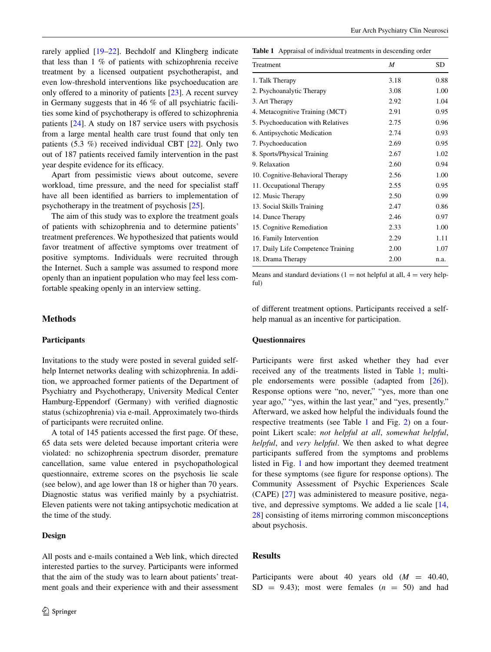rarely applied [\[19](#page-4-7)[–22](#page-4-8)]. Bechdolf and Klingberg indicate that less than 1 % of patients with schizophrenia receive treatment by a licensed outpatient psychotherapist, and even low-threshold interventions like psychoeducation are only offered to a minority of patients [\[23](#page-4-9)]. A recent survey in Germany suggests that in 46 % of all psychiatric facilities some kind of psychotherapy is offered to schizophrenia patients [[24\]](#page-4-10). A study on 187 service users with psychosis from a large mental health care trust found that only ten patients (5.3 %) received individual CBT [\[22](#page-4-8)]. Only two out of 187 patients received family intervention in the past year despite evidence for its efficacy.

Apart from pessimistic views about outcome, severe workload, time pressure, and the need for specialist staff have all been identified as barriers to implementation of psychotherapy in the treatment of psychosis [[25\]](#page-4-11).

The aim of this study was to explore the treatment goals of patients with schizophrenia and to determine patients' treatment preferences. We hypothesized that patients would favor treatment of affective symptoms over treatment of positive symptoms. Individuals were recruited through the Internet. Such a sample was assumed to respond more openly than an inpatient population who may feel less comfortable speaking openly in an interview setting.

# **Methods**

## **Participants**

Invitations to the study were posted in several guided selfhelp Internet networks dealing with schizophrenia. In addition, we approached former patients of the Department of Psychiatry and Psychotherapy, University Medical Center Hamburg-Eppendorf (Germany) with verified diagnostic status (schizophrenia) via e-mail. Approximately two-thirds of participants were recruited online.

A total of 145 patients accessed the first page. Of these, 65 data sets were deleted because important criteria were violated: no schizophrenia spectrum disorder, premature cancellation, same value entered in psychopathological questionnaire, extreme scores on the psychosis lie scale (see below), and age lower than 18 or higher than 70 years. Diagnostic status was verified mainly by a psychiatrist. Eleven patients were not taking antipsychotic medication at the time of the study.

# **Design**

All posts and e-mails contained a Web link, which directed interested parties to the survey. Participants were informed that the aim of the study was to learn about patients' treatment goals and their experience with and their assessment <span id="page-1-0"></span>**Table 1** Appraisal of individual treatments in descending order

| Treatment                          | M    | SD.  |
|------------------------------------|------|------|
| 1. Talk Therapy                    | 3.18 | 0.88 |
| 2. Psychoanalytic Therapy          | 3.08 | 1.00 |
| 3. Art Therapy                     | 2.92 | 1.04 |
| 4. Metacognitive Training (MCT)    | 2.91 | 0.95 |
| 5. Psychoeducation with Relatives  | 2.75 | 0.96 |
| 6. Antipsychotic Medication        | 2.74 | 0.93 |
| 7. Psychoeducation                 | 2.69 | 0.95 |
| 8. Sports/Physical Training        | 2.67 | 1.02 |
| 9. Relaxation                      | 2.60 | 0.94 |
| 10. Cognitive-Behavioral Therapy   | 2.56 | 1.00 |
| 11. Occupational Therapy           | 2.55 | 0.95 |
| 12. Music Therapy                  | 2.50 | 0.99 |
| 13. Social Skills Training         | 2.47 | 0.86 |
| 14. Dance Therapy                  | 2.46 | 0.97 |
| 15. Cognitive Remediation          | 2.33 | 1.00 |
| 16. Family Intervention            | 2.29 | 1.11 |
| 17. Daily Life Competence Training | 2.00 | 1.07 |
| 18. Drama Therapy                  | 2.00 | n.a. |

Means and standard deviations ( $1 =$  not helpful at all,  $4 =$  very helpful)

of different treatment options. Participants received a selfhelp manual as an incentive for participation.

## **Questionnaires**

Participants were first asked whether they had ever received any of the treatments listed in Table [1](#page-1-0); multiple endorsements were possible (adapted from [[26](#page-4-12)]). Response options were "no, never," "yes, more than one year ago," "yes, within the last year," and "yes, presently." Afterward, we asked how helpful the individuals found the respective treatments (see Table [1](#page-1-0) and Fig. [2\)](#page-2-0) on a fourpoint Likert scale: *not helpful at all*, *somewhat helpful*, *helpful*, and *very helpful*. We then asked to what degree participants suffered from the symptoms and problems listed in Fig. [1](#page-2-1) and how important they deemed treatment for these symptoms (see figure for response options). The Community Assessment of Psychic Experiences Scale (CAPE) [\[27](#page-4-13)] was administered to measure positive, negative, and depressive symptoms. We added a lie scale [[14,](#page-4-2) [28](#page-4-14)] consisting of items mirroring common misconceptions about psychosis.

## **Results**

Participants were about 40 years old (*M* = 40.40,  $SD = 9.43$ ; most were females  $(n = 50)$  and had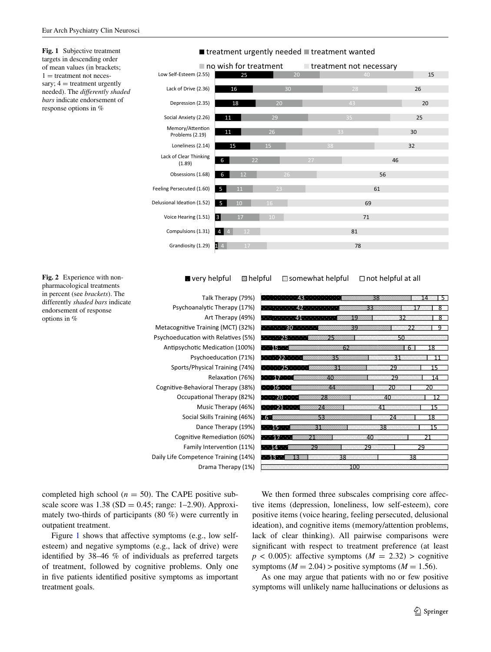<span id="page-2-1"></span>**Fig. 1** Subjective treatment targets in descending order of mean values (in brackets;  $1 =$  treatment not necessary;  $4 =$  treatment urgently needed). The *differently shaded bars* indicate endorsement of response options in %



■ very helpful ■ helpful ■ somewhat helpful □ not helpful at all

| Talk Therapy (79%)                   | 38<br>43 · ·                                |
|--------------------------------------|---------------------------------------------|
| Psychoanalytic Therapy (17%)         | 33<br>Ջ                                     |
| Art Therapy (49%)                    | . 41 <u>.</u> .<br>8<br>19<br>32            |
| Metacognitive Training (MCT) (32%)   | 39<br>つつ<br>٠q                              |
| Psychoeducation with Relatives (5%)  | 25.<br>75<br>50                             |
| Antipsychotic Medication (100%)      | 62<br>$-15$ and $-1$<br>18<br>-6            |
| Psychoeducation (71%)                | $\sim$ 22 $\sim$<br>35<br>31<br>11          |
| Sports/Physical Training (74%)       | -1-1-1-251-1-1-1-<br>31<br>29<br>15         |
| Relaxation (76%)                     | <b>1. 17. 17.</b><br>40<br>29<br>14         |
| Cognitive-Behavioral Therapy (38%)   | $\cdots$ 16 $\cdots$<br>44<br>20<br>20      |
| Occupational Therapy (82%)           | $\cdots$ 20 $\cdots$<br>28<br>40<br>12      |
| Music Therapy (46%)                  | <b>Free 21, Free</b><br>24<br>41            |
| Social Skills Training (46%)         | $-6$<br>53<br>18<br>24                      |
| Dance Therapy (19%)                  | $\sim$ 15 $\sim$ 1<br>31<br>15<br>38        |
| Cognitive Remediation (60%)          | $\overline{17}$ $\overline{17}$<br>40<br>21 |
| Family Intervention (11%)            | $\cdots$ 14<br>29<br>29<br>29               |
| Daily Life Competence Training (14%) | $-13$<br>38<br>38                           |
| Drama Therapy (1%)                   | 100                                         |
|                                      |                                             |

<span id="page-2-0"></span>**Fig. 2** Experience with nonpharmacological treatments in percent (see *brackets*). The differently *shaded bars* indicate endorsement of response options in %

completed high school ( $n = 50$ ). The CAPE positive subscale score was  $1.38$  (SD = 0.45; range: 1–2.90). Approximately two-thirds of participants (80 %) were currently in outpatient treatment.

Figure [1](#page-2-1) shows that affective symptoms (e.g., low selfesteem) and negative symptoms (e.g., lack of drive) were identified by 38–46 % of individuals as preferred targets of treatment, followed by cognitive problems. Only one in five patients identified positive symptoms as important treatment goals.

We then formed three subscales comprising core affective items (depression, loneliness, low self-esteem), core positive items (voice hearing, feeling persecuted, delusional ideation), and cognitive items (memory/attention problems, lack of clear thinking). All pairwise comparisons were significant with respect to treatment preference (at least  $p < 0.005$ : affective symptoms ( $M = 2.32$ ) > cognitive symptoms ( $M = 2.04$ ) > positive symptoms ( $M = 1.56$ ).

As one may argue that patients with no or few positive symptoms will unlikely name hallucinations or delusions as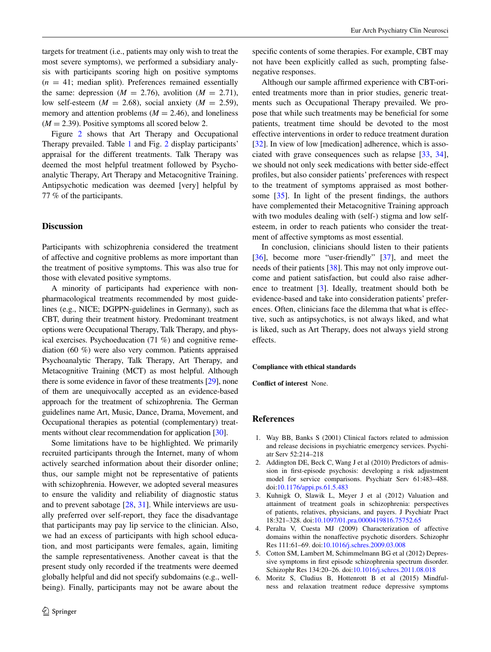targets for treatment (i.e., patients may only wish to treat the most severe symptoms), we performed a subsidiary analysis with participants scoring high on positive symptoms  $(n = 41;$  median split). Preferences remained essentially the same: depression ( $M = 2.76$ ), avolition ( $M = 2.71$ ), low self-esteem ( $M = 2.68$ ), social anxiety ( $M = 2.59$ ), memory and attention problems  $(M = 2.46)$ , and loneliness  $(M = 2.39)$ . Positive symptoms all scored below 2.

Figure [2](#page-2-0) shows that Art Therapy and Occupational Therapy prevailed. Table [1](#page-1-0) and Fig. [2](#page-2-0) display participants' appraisal for the different treatments. Talk Therapy was deemed the most helpful treatment followed by Psychoanalytic Therapy, Art Therapy and Metacognitive Training. Antipsychotic medication was deemed [very] helpful by 77 % of the participants.

# **Discussion**

Participants with schizophrenia considered the treatment of affective and cognitive problems as more important than the treatment of positive symptoms. This was also true for those with elevated positive symptoms.

A minority of participants had experience with nonpharmacological treatments recommended by most guidelines (e.g., NICE; DGPPN-guidelines in Germany), such as CBT, during their treatment history. Predominant treatment options were Occupational Therapy, Talk Therapy, and physical exercises. Psychoeducation (71 %) and cognitive remediation (60 %) were also very common. Patients appraised Psychoanalytic Therapy, Talk Therapy, Art Therapy, and Metacognitive Training (MCT) as most helpful. Although there is some evidence in favor of these treatments [\[29](#page-4-15)], none of them are unequivocally accepted as an evidence-based approach for the treatment of schizophrenia. The German guidelines name Art, Music, Dance, Drama, Movement, and Occupational therapies as potential (complementary) treatments without clear recommendation for application [\[30](#page-4-16)].

Some limitations have to be highlighted. We primarily recruited participants through the Internet, many of whom actively searched information about their disorder online; thus, our sample might not be representative of patients with schizophrenia. However, we adopted several measures to ensure the validity and reliability of diagnostic status and to prevent sabotage [\[28](#page-4-14), [31](#page-4-17)]. While interviews are usually preferred over self-report, they face the disadvantage that participants may pay lip service to the clinician. Also, we had an excess of participants with high school education, and most participants were females, again, limiting the sample representativeness. Another caveat is that the present study only recorded if the treatments were deemed globally helpful and did not specify subdomains (e.g., wellbeing). Finally, participants may not be aware about the

specific contents of some therapies. For example, CBT may not have been explicitly called as such, prompting falsenegative responses.

Although our sample affirmed experience with CBT-oriented treatments more than in prior studies, generic treatments such as Occupational Therapy prevailed. We propose that while such treatments may be beneficial for some patients, treatment time should be devoted to the most effective interventions in order to reduce treatment duration [\[32](#page-4-18)]. In view of low [medication] adherence, which is associated with grave consequences such as relapse [[33,](#page-4-19) [34](#page-4-20)], we should not only seek medications with better side-effect profiles, but also consider patients' preferences with respect to the treatment of symptoms appraised as most bothersome [[35\]](#page-4-21). In light of the present findings, the authors have complemented their Metacognitive Training approach with two modules dealing with (self-) stigma and low selfesteem, in order to reach patients who consider the treatment of affective symptoms as most essential.

In conclusion, clinicians should listen to their patients [\[36](#page-4-22)], become more "user-friendly" [\[37](#page-4-23)], and meet the needs of their patients [[38\]](#page-4-24). This may not only improve outcome and patient satisfaction, but could also raise adherence to treatment [[3\]](#page-3-1). Ideally, treatment should both be evidence-based and take into consideration patients' preferences. Often, clinicians face the dilemma that what is effective, such as antipsychotics, is not always liked, and what is liked, such as Art Therapy, does not always yield strong effects.

#### **Compliance with ethical standards**

**Conflict of interest** None.

#### **References**

- <span id="page-3-0"></span>1. Way BB, Banks S (2001) Clinical factors related to admission and release decisions in psychiatric emergency services. Psychiatr Serv 52:214–218
- 2. Addington DE, Beck C, Wang J et al (2010) Predictors of admission in first-episode psychosis: developing a risk adjustment model for service comparisons. Psychiatr Serv 61:483–488. doi[:10.1176/appi.ps.61.5.483](http://dx.doi.org/10.1176/appi.ps.61.5.483)
- <span id="page-3-1"></span>3. Kuhnigk O, Slawik L, Meyer J et al (2012) Valuation and attainment of treatment goals in schizophrenia: perspectives of patients, relatives, physicians, and payers. J Psychiatr Pract 18:321–328. doi[:10.1097/01.pra.0000419816.75752.65](http://dx.doi.org/10.1097/01.pra.0000419816.75752.65)
- <span id="page-3-2"></span>4. Peralta V, Cuesta MJ (2009) Characterization of affective domains within the nonaffective psychotic disorders. Schizophr Res 111:61–69. doi:[10.1016/j.schres.2009.03.008](http://dx.doi.org/10.1016/j.schres.2009.03.008)
- <span id="page-3-3"></span>5. Cotton SM, Lambert M, Schimmelmann BG et al (2012) Depressive symptoms in first episode schizophrenia spectrum disorder. Schizophr Res 134:20–26. doi[:10.1016/j.schres.2011.08.018](http://dx.doi.org/10.1016/j.schres.2011.08.018)
- <span id="page-3-4"></span>6. Moritz S, Cludius B, Hottenrott B et al (2015) Mindfulness and relaxation treatment reduce depressive symptoms